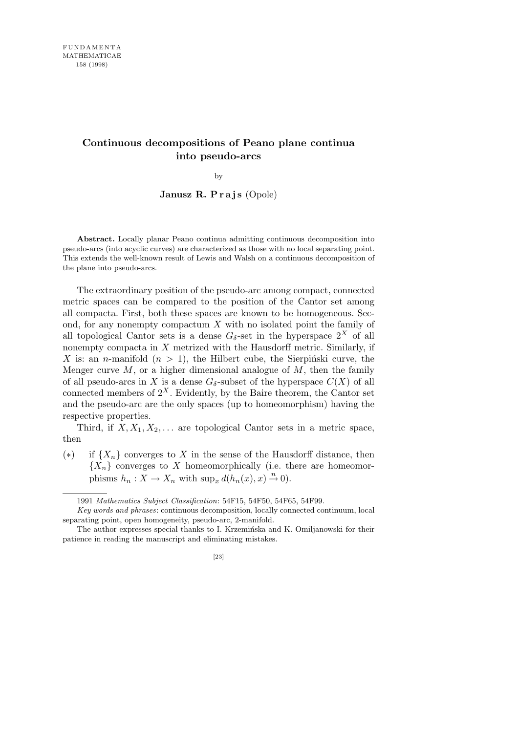## **Continuous decompositions of Peano plane continua into pseudo-arcs**

by

**Janusz R. Prajs** (Opole)

**Abstract.** Locally planar Peano continua admitting continuous decomposition into pseudo-arcs (into acyclic curves) are characterized as those with no local separating point. This extends the well-known result of Lewis and Walsh on a continuous decomposition of the plane into pseudo-arcs.

The extraordinary position of the pseudo-arc among compact, connected metric spaces can be compared to the position of the Cantor set among all compacta. First, both these spaces are known to be homogeneous. Second, for any nonempty compactum *X* with no isolated point the family of all topological Cantor sets is a dense  $G_{\delta}$ -set in the hyperspace  $2^{X}$  of all nonempty compacta in *X* metrized with the Hausdorff metric. Similarly, if X is: an *n*-manifold  $(n > 1)$ , the Hilbert cube, the Sierpinski curve, the Menger curve *M*, or a higher dimensional analogue of *M*, then the family of all pseudo-arcs in *X* is a dense  $G_{\delta}$ -subset of the hyperspace  $C(X)$  of all connected members of  $2^X$ . Evidently, by the Baire theorem, the Cantor set and the pseudo-arc are the only spaces (up to homeomorphism) having the respective properties.

Third, if  $X, X_1, X_2, \ldots$  are topological Cantor sets in a metric space, then

(*∗*) if *{Xn}* converges to *X* in the sense of the Hausdorff distance, then  ${X_n}$  converges to *X* homeomorphically (i.e. there are homeomorphisms  $h_n: X \to X_n$  with  $\sup_x d(h_n(x), x) \to 0$ .

<sup>1991</sup> *Mathematics Subject Classification*: 54F15, 54F50, 54F65, 54F99.

*Key words and phrases*: continuous decomposition, locally connected continuum, local separating point, open homogeneity, pseudo-arc, 2-manifold.

The author expresses special thanks to I. Krzemińska and K. Omiljanowski for their patience in reading the manuscript and eliminating mistakes.

<sup>[23]</sup>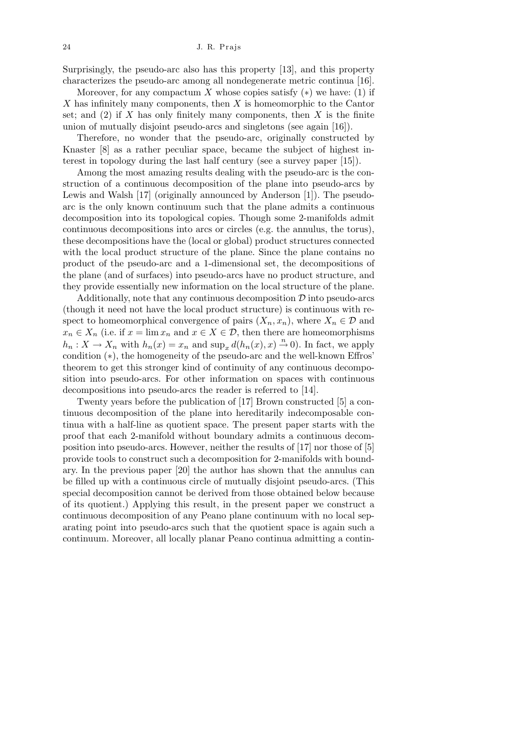Surprisingly, the pseudo-arc also has this property [13], and this property characterizes the pseudo-arc among all nondegenerate metric continua [16].

Moreover, for any compactum *X* whose copies satisfy  $(*)$  we have: (1) if *X* has infinitely many components, then *X* is homeomorphic to the Cantor set; and  $(2)$  if *X* has only finitely many components, then *X* is the finite union of mutually disjoint pseudo-arcs and singletons (see again [16]).

Therefore, no wonder that the pseudo-arc, originally constructed by Knaster [8] as a rather peculiar space, became the subject of highest interest in topology during the last half century (see a survey paper [15]).

Among the most amazing results dealing with the pseudo-arc is the construction of a continuous decomposition of the plane into pseudo-arcs by Lewis and Walsh [17] (originally announced by Anderson [1]). The pseudoarc is the only known continuum such that the plane admits a continuous decomposition into its topological copies. Though some 2-manifolds admit continuous decompositions into arcs or circles (e.g. the annulus, the torus), these decompositions have the (local or global) product structures connected with the local product structure of the plane. Since the plane contains no product of the pseudo-arc and a 1-dimensional set, the decompositions of the plane (and of surfaces) into pseudo-arcs have no product structure, and they provide essentially new information on the local structure of the plane.

Additionally, note that any continuous decomposition *D* into pseudo-arcs (though it need not have the local product structure) is continuous with respect to homeomorphical convergence of pairs  $(X_n, x_n)$ , where  $X_n \in \mathcal{D}$  and  $x_n \in X_n$  (i.e. if  $x = \lim x_n$  and  $x \in X \in \mathcal{D}$ , then there are homeomorphisms  $h_n: X \to X_n$  with  $h_n(x) = x_n$  and  $\sup_x d(h_n(x), x) \to 0$ ). In fact, we apply condition (*∗*), the homogeneity of the pseudo-arc and the well-known Effros' theorem to get this stronger kind of continuity of any continuous decomposition into pseudo-arcs. For other information on spaces with continuous decompositions into pseudo-arcs the reader is referred to [14].

Twenty years before the publication of [17] Brown constructed [5] a continuous decomposition of the plane into hereditarily indecomposable continua with a half-line as quotient space. The present paper starts with the proof that each 2-manifold without boundary admits a continuous decomposition into pseudo-arcs. However, neither the results of [17] nor those of [5] provide tools to construct such a decomposition for 2-manifolds with boundary. In the previous paper [20] the author has shown that the annulus can be filled up with a continuous circle of mutually disjoint pseudo-arcs. (This special decomposition cannot be derived from those obtained below because of its quotient.) Applying this result, in the present paper we construct a continuous decomposition of any Peano plane continuum with no local separating point into pseudo-arcs such that the quotient space is again such a continuum. Moreover, all locally planar Peano continua admitting a contin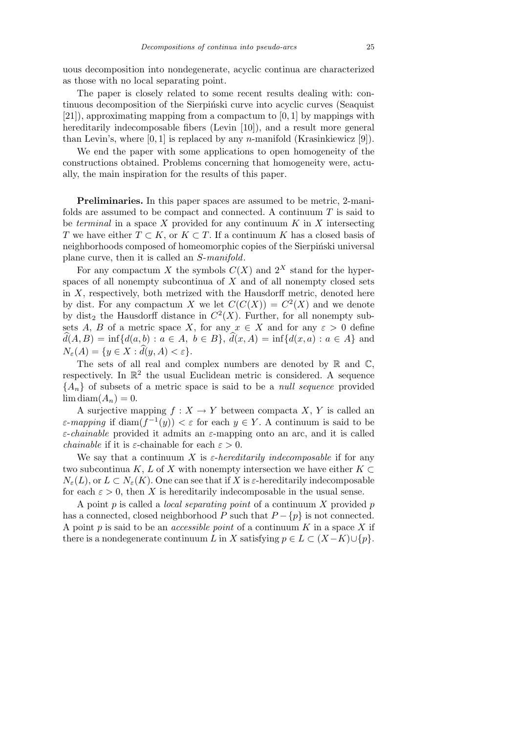uous decomposition into nondegenerate, acyclic continua are characterized as those with no local separating point.

The paper is closely related to some recent results dealing with: continuous decomposition of the Sierpinski curve into acyclic curves (Seaquist [21]), approximating mapping from a compactum to [0*,* 1] by mappings with hereditarily indecomposable fibers (Levin [10]), and a result more general than Levin's, where [0*,* 1] is replaced by any *n*-manifold (Krasinkiewicz [9]).

We end the paper with some applications to open homogeneity of the constructions obtained. Problems concerning that homogeneity were, actually, the main inspiration for the results of this paper.

**Preliminaries.** In this paper spaces are assumed to be metric, 2-manifolds are assumed to be compact and connected. A continuum *T* is said to be *terminal* in a space *X* provided for any continuum *K* in *X* intersecting *T* we have either  $T \subset K$ , or  $K \subset T$ . If a continuum *K* has a closed basis of neighborhoods composed of homeomorphic copies of the Sierpinski universal plane curve, then it is called an *S*-*manifold*.

For any compactum *X* the symbols  $C(X)$  and  $2^X$  stand for the hyperspaces of all nonempty subcontinua of *X* and of all nonempty closed sets in  $X$ , respectively, both metrized with the Hausdorff metric, denoted here by dist. For any compactum *X* we let  $C(C(X)) = C<sup>2</sup>(X)$  and we denote by dist<sub>2</sub> the Hausdorff distance in  $C<sup>2</sup>(X)$ . Further, for all nonempty subsets *A*, *B* of a metric space *X*, for any  $x \in X$  and for any  $\varepsilon > 0$  define  $\hat{d}(A, B) = \inf \{ d(a, b) : a \in A, b \in B \}, \hat{d}(x, A) = \inf \{ d(x, a) : a \in A \}$  and  $N_{\varepsilon}(A) = \{ y \in X : \hat{d}(y, A) < \varepsilon \}.$ 

The sets of all real and complex numbers are denoted by  $\mathbb R$  and  $\mathbb C$ , respectively. In  $\mathbb{R}^2$  the usual Euclidean metric is considered. A sequence  ${A_n}$  of subsets of a metric space is said to be a *null sequence* provided  $\lim_{n \to \infty} \text{diam}(A_n) = 0.$ 

A surjective mapping  $f: X \to Y$  between compacta X, Y is called an *ε*-*mapping* if diam $(f^{-1}(y)) < \varepsilon$  for each  $y \in Y$ . A continuum is said to be *ε*-*chainable* provided it admits an *ε*-mapping onto an arc, and it is called *chainable* if it is *ε*-chainable for each  $\varepsilon > 0$ .

We say that a continuum *X* is  $\varepsilon$ -*hereditarily indecomposable* if for any two subcontinua *K*, *L* of *X* with nonempty intersection we have either  $K \subset$  $N_{\varepsilon}(L)$ , or  $L \subset N_{\varepsilon}(K)$ . One can see that if *X* is  $\varepsilon$ -hereditarily indecomposable for each  $\varepsilon > 0$ , then X is hereditarily indecomposable in the usual sense.

A point *p* is called a *local separating point* of a continuum *X* provided *p* has a connected, closed neighborhood *P* such that  $P - \{p\}$  is not connected. A point *p* is said to be an *accessible point* of a continuum *K* in a space *X* if there is a nondegenerate continuum *L* in *X* satisfying  $p \in L \subset (X - K) \cup \{p\}$ .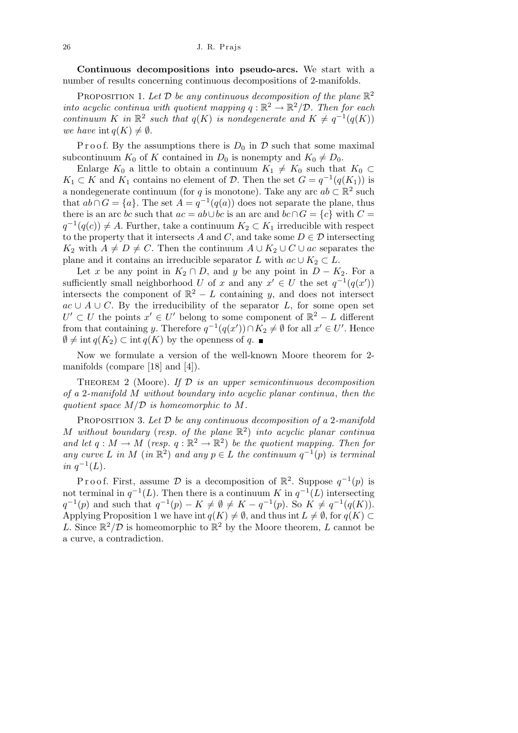**Continuous decompositions into pseudo-arcs.** We start with a number of results concerning continuous decompositions of 2-manifolds.

PROPOSITION 1. Let  $\mathcal D$  be any continuous decomposition of the plane  $\mathbb{R}^2$ *into acyclic continua with quotient mapping*  $q : \mathbb{R}^2 \to \mathbb{R}^2/\mathcal{D}$ . Then for each *continuum K in*  $\mathbb{R}^2$  *such that*  $q(K)$  *is nondegenerate and*  $K \neq q^{-1}(q(K))$ *we have*  $\text{int } a(K) \neq \emptyset$ *.* 

Proof. By the assumptions there is  $D_0$  in  $\mathcal D$  such that some maximal subcontinuum  $K_0$  of K contained in  $D_0$  is nonempty and  $K_0 \neq D_0$ .

Enlarge  $K_0$  a little to obtain a continuum  $K_1 \neq K_0$  such that  $K_0 \subset$ *K*<sub>1</sub> ⊂ *K* and *K*<sub>1</sub> contains no element of *D*. Then the set  $G = q^{-1}(q(K_1))$  is a nondegenerate continuum (for *q* is monotone). Take any arc  $ab \subset \mathbb{R}^2$  such that  $ab \cap G = \{a\}$ . The set  $A = q^{-1}(q(a))$  does not separate the plane, thus there is an arc *bc* such that  $ac = ab \cup bc$  is an arc and  $bc \cap G = \{c\}$  with  $C =$  $q^{-1}(q(c)) \neq A$ . Further, take a continuum  $K_2 \subset K_1$  irreducible with respect to the property that it intersects *A* and *C*, and take some  $D \in \mathcal{D}$  intersecting *K*<sub>2</sub> with  $A \neq D \neq C$ . Then the continuum  $A \cup K_2 \cup C \cup ac$  separates the plane and it contains an irreducible separator *L* with  $ac \cup K_2 \subset L$ .

Let *x* be any point in  $K_2 \cap D$ , and *y* be any point in  $D - K_2$ . For a sufficiently small neighborhood *U* of *x* and any  $x' \in U$  the set  $q^{-1}(q(x'))$ intersects the component of  $\mathbb{R}^2 - L$  containing *y*, and does not intersect  $ac \cup A \cup C$ . By the irreducibility of the separator *L*, for some open set  $U' \subset U$  the points  $x' \in U'$  belong to some component of  $\mathbb{R}^2 - L$  different from that containing *y*. Therefore  $q^{-1}(q(x')) \cap K_2 \neq \emptyset$  for all  $x' \in U'$ . Hence  $\emptyset$  ≠ int *q*(*K*<sub>2</sub>) ⊂ int *q*(*K*) by the openness of *q*. ■

Now we formulate a version of the well-known Moore theorem for 2 manifolds (compare [18] and [4]).

Theorem 2 (Moore). *If D is an upper semicontinuous decomposition of a* 2*-manifold M without boundary into acyclic planar continua*, *then the quotient space M/D is homeomorphic to M.*

Proposition 3. *Let D be any continuous decomposition of a* 2*-manifold M without boundary* (*resp. of the plane* R 2 ) *into acyclic planar continua and let*  $q : M \to M$  (*resp.*  $q : \mathbb{R}^2 \to \mathbb{R}^2$ ) *be the quotient mapping. Then for any curve L in M* (*in*  $\mathbb{R}^2$ ) *and any*  $p \in L$  *the continuum*  $q^{-1}(p)$  *is terminal in*  $q^{-1}(L)$ *.* 

Proof. First, assume  $\mathcal{D}$  is a decomposition of  $\mathbb{R}^2$ . Suppose  $q^{-1}(p)$  is not terminal in  $q^{-1}(L)$ . Then there is a continuum *K* in  $q^{-1}(L)$  intersecting  $q^{-1}(p)$  and such that  $q^{-1}(p) - K \neq \emptyset \neq K - q^{-1}(p)$ . So  $K \neq q^{-1}(q(K))$ . Applying Proposition 1 we have int  $q(K) \neq \emptyset$ , and thus int  $L \neq \emptyset$ , for  $q(K) \subset$ *L*. Since  $\mathbb{R}^2/\mathcal{D}$  is homeomorphic to  $\mathbb{R}^2$  by the Moore theorem, *L* cannot be a curve, a contradiction.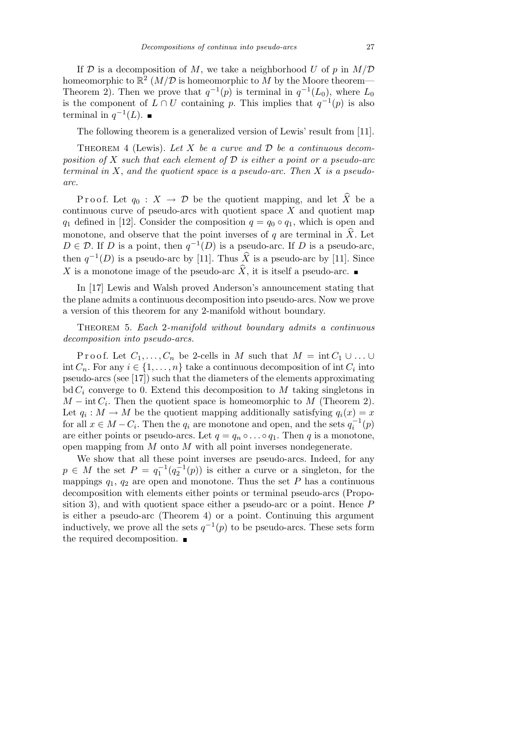If  $D$  is a decomposition of M, we take a neighborhood U of p in  $M/D$ homeomorphic to  $\mathbb{R}^2$  (*M*/*D* is homeomorphic to *M* by the Moore theorem— Theorem 2). Then we prove that  $q^{-1}(p)$  is terminal in  $q^{-1}(L_0)$ , where  $L_0$ is the component of  $L \cap U$  containing *p*. This implies that  $q^{-1}(p)$  is also terminal in  $q^{-1}(L)$ .

The following theorem is a generalized version of Lewis' result from [11].

Theorem 4 (Lewis). *Let X be a curve and D be a continuous decomposition of X such that each element of D is either a point or a pseudo-arc terminal in X*, *and the quotient space is a pseudo-arc. Then X is a pseudoarc.*

P r o o f. Let  $q_0: X \to \mathcal{D}$  be the quotient mapping, and let  $\widehat{X}$  be a continuous curve of pseudo-arcs with quotient space *X* and quotient map *q*<sub>1</sub> defined in [12]. Consider the composition  $q = q_0 \circ q_1$ , which is open and monotone, and observe that the point inverses of *q* are terminal in  $\hat{X}$ . Let  $D \in \mathcal{D}$ . If *D* is a point, then  $q^{-1}(D)$  is a pseudo-arc. If *D* is a pseudo-arc, then  $q^{-1}(D)$  is a pseudo-arc by [11]. Thus  $\widehat{X}$  is a pseudo-arc by [11]. Since *X* is a monotone image of the pseudo-arc  $\hat{X}$ , it is itself a pseudo-arc.

In [17] Lewis and Walsh proved Anderson's announcement stating that the plane admits a continuous decomposition into pseudo-arcs. Now we prove a version of this theorem for any 2-manifold without boundary.

Theorem 5. *Each* 2*-manifold without boundary admits a continuous decomposition into pseudo-arcs.*

Proof. Let  $C_1, \ldots, C_n$  be 2-cells in *M* such that  $M = \text{int } C_1 \cup \ldots \cup C_n$ int  $C_n$ . For any  $i \in \{1, \ldots, n\}$  take a continuous decomposition of int  $C_i$  into pseudo-arcs (see [17]) such that the diameters of the elements approximating  $\mathrm{bd}\, \mathcal{C}_i$  converge to 0. Extend this decomposition to M taking singletons in *M* − int  $C_i$ . Then the quotient space is homeomorphic to *M* (Theorem 2). Let  $q_i : M \to M$  be the quotient mapping additionally satisfying  $q_i(x) = x$ for all  $x \in M - C_i$ . Then the  $q_i$  are monotone and open, and the sets  $q_i^{-1}(p)$ are either points or pseudo-arcs. Let  $q = q_n \circ \dots \circ q_1$ . Then *q* is a monotone, open mapping from *M* onto *M* with all point inverses nondegenerate.

We show that all these point inverses are pseudo-arcs. Indeed, for any  $p \in M$  the set  $P = q_1^{-1}(q_2^{-1}(p))$  is either a curve or a singleton, for the mappings  $q_1$ ,  $q_2$  are open and monotone. Thus the set *P* has a continuous decomposition with elements either points or terminal pseudo-arcs (Proposition 3), and with quotient space either a pseudo-arc or a point. Hence *P* is either a pseudo-arc (Theorem 4) or a point. Continuing this argument inductively, we prove all the sets  $q^{-1}(p)$  to be pseudo-arcs. These sets form the required decomposition.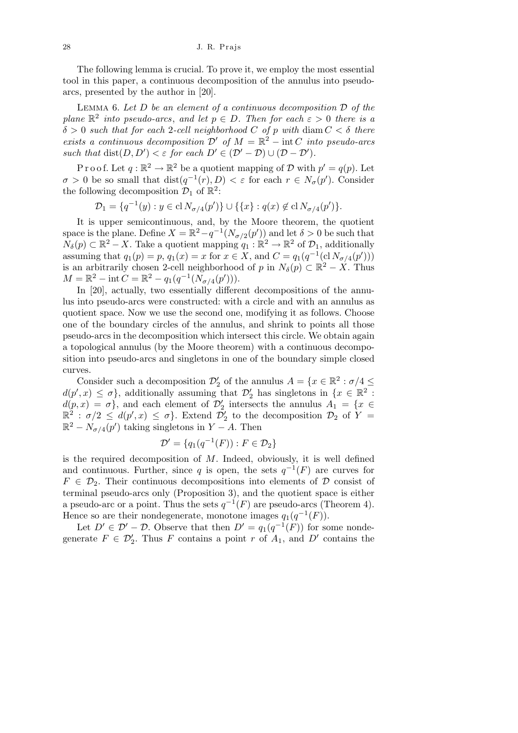The following lemma is crucial. To prove it, we employ the most essential tool in this paper, a continuous decomposition of the annulus into pseudoarcs, presented by the author in [20].

Lemma 6. *Let D be an element of a continuous decomposition D of the plane*  $\mathbb{R}^2$  *into pseudo-arcs, and let*  $p \in D$ *. Then for each*  $\varepsilon > 0$  *there is a*  $\delta > 0$  *such that for each* 2*-cell neighborhood C of p with* diam  $C < \delta$  *there exists a continuous decomposition*  $\mathcal{D}'$  *of*  $M = \mathbb{R}^2 - \text{int } C$  *into pseudo-arcs such that*  $dist(D, D') < \varepsilon$  *for each*  $D' \in (\mathcal{D}' - \mathcal{D}) \cup (\mathcal{D} - \mathcal{D}')$ .

P r o o f. Let  $q : \mathbb{R}^2 \to \mathbb{R}^2$  be a quotient mapping of D with  $p' = q(p)$ . Let  $\sigma > 0$  be so small that  $dist(q^{-1}(r), D) < \varepsilon$  for each  $r \in N_{\sigma}(p')$ . Consider the following decomposition  $\mathcal{D}_1$  of  $\mathbb{R}^2$ :

 $\mathcal{D}_1 = \{q^{-1}(y) : y \in \text{cl } N_{\sigma/4}(p')\} \cup \{\{x\} : q(x) \notin \text{cl } N_{\sigma/4}(p')\}.$ 

It is upper semicontinuous, and, by the Moore theorem, the quotient space is the plane. Define  $X = \mathbb{R}^2 - q^{-1}(N_{\sigma/2}(p'))$  and let  $\delta > 0$  be such that  $N_{\delta}(p) \subset \mathbb{R}^2 - X$ . Take a quotient mapping  $q_1 : \mathbb{R}^2 \to \mathbb{R}^2$  of  $\mathcal{D}_1$ , additionally assuming that  $q_1(p) = p$ ,  $q_1(x) = x$  for  $x \in X$ , and  $C = q_1(q^{-1}(\text{cl }N_{\sigma/4}(p')))$ is an arbitrarily chosen 2-cell neighborhood of *p* in  $N_{\delta}(p) \subset \mathbb{R}^{2} - X$ . Thus  $M = \mathbb{R}^2 - \text{int } C = \mathbb{R}^2 - q_1(q^{-1}(N_{\sigma/4}(p'))).$ 

In [20], actually, two essentially different decompositions of the annulus into pseudo-arcs were constructed: with a circle and with an annulus as quotient space. Now we use the second one, modifying it as follows. Choose one of the boundary circles of the annulus, and shrink to points all those pseudo-arcs in the decomposition which intersect this circle. We obtain again a topological annulus (by the Moore theorem) with a continuous decomposition into pseudo-arcs and singletons in one of the boundary simple closed curves.

Consider such a decomposition  $\mathcal{D}'_2$  of the annulus  $A = \{x \in \mathbb{R}^2 : \sigma/4 \leq \sigma/4\}$  $d(p', x) \leq \sigma$ , additionally assuming that  $\mathcal{D}'_2$  has singletons in  $\{x \in \mathbb{R}^2 :$  $d(p, x) = \sigma$ , and each element of  $\mathcal{D}'_2$  intersects the annulus  $A_1 = \{x \in$  $\mathbb{R}^2$  :  $\sigma/2 \leq d(p',x) \leq \sigma$ . Extend  $\mathcal{D}'_2$  to the decomposition  $\mathcal{D}_2$  of  $Y =$  $\mathbb{R}^2 - N_{\sigma/4}(p')$  taking singletons in  $Y - A$ . Then

$$
\mathcal{D}' = \{q_1(q^{-1}(F)) : F \in \mathcal{D}_2\}
$$

is the required decomposition of *M*. Indeed, obviously, it is well defined and continuous. Further, since *q* is open, the sets  $q^{-1}(F)$  are curves for  $F \in \mathcal{D}_2$ . Their continuous decompositions into elements of  $\mathcal D$  consist of terminal pseudo-arcs only (Proposition 3), and the quotient space is either a pseudo-arc or a point. Thus the sets  $q^{-1}(F)$  are pseudo-arcs (Theorem 4). Hence so are their nondegenerate, monotone images  $q_1(q^{-1}(F))$ .

Let  $D' \in \mathcal{D}' - \mathcal{D}$ . Observe that then  $D' = q_1(q^{-1}(F))$  for some nondegenerate  $F \in \mathcal{D}'_2$ . Thus *F* contains a point *r* of  $A_1$ , and  $D'$  contains the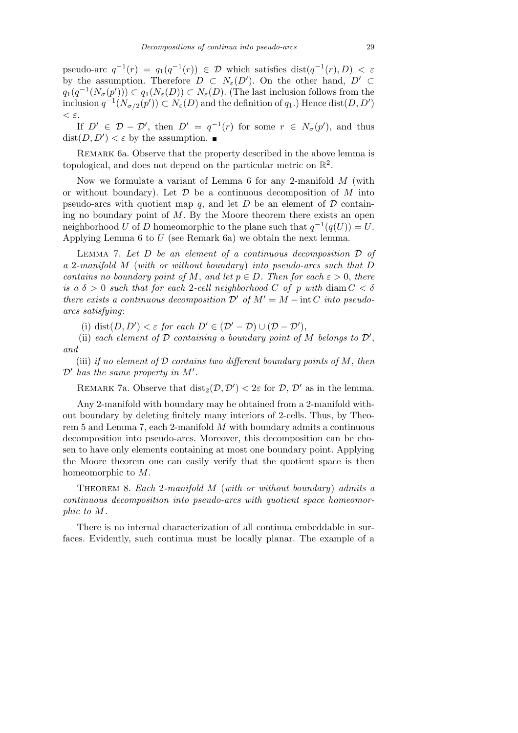pseudo-arc  $q^{-1}(r) = q_1(q^{-1}(r)) \in \mathcal{D}$  which satisfies dist $(q^{-1}(r), D) < \varepsilon$ by the assumption. Therefore  $D \subset N_{\varepsilon}(D')$ . On the other hand,  $D' \subset$ *q*<sub>1</sub>( $q^{-1}(N_{\sigma}(p'))$ ) ⊂  $q_1(N_{\varepsilon}(D))$  ⊂  $N_{\varepsilon}(D)$ . (The last inclusion follows from the inclusion  $q^{-1}(N_{\sigma/2}(p')) \subset N_{\varepsilon}(D)$  and the definition of  $q_1$ .) Hence dist $(D, D')$ *< ε*.

If  $D' \in \mathcal{D} - \mathcal{D}'$ , then  $D' = q^{-1}(r)$  for some  $r \in N_{\sigma}(p')$ , and thus  $dist(D, D') < \varepsilon$  by the assumption.

Remark 6a. Observe that the property described in the above lemma is topological, and does not depend on the particular metric on  $\mathbb{R}^2$ .

Now we formulate a variant of Lemma 6 for any 2-manifold *M* (with or without boundary). Let *D* be a continuous decomposition of *M* into pseudo-arcs with quotient map  $q$ , and let  $D$  be an element of  $D$  containing no boundary point of *M*. By the Moore theorem there exists an open neighborhood *U* of *D* homeomorphic to the plane such that  $q^{-1}(q(U)) = U$ . Applying Lemma 6 to *U* (see Remark 6a) we obtain the next lemma.

Lemma 7. *Let D be an element of a continuous decomposition D of a* 2*-manifold M* (*with or without boundary*) *into pseudo-arcs such that D contains no boundary point of*  $M$ , *and let*  $p \in D$ *. Then for each*  $\varepsilon > 0$ , *there is a*  $\delta > 0$  *such that for each* 2-*cell neighborhood C of p with* diam  $C < \delta$ *there exists a continuous decomposition*  $\mathcal{D}'$  *of*  $M' = M - \text{int } C$  *into pseudoarcs satisfying*:

(i) dist $(D, D') < \varepsilon$  for each  $D' \in (\mathcal{D}' - \mathcal{D}) \cup (\mathcal{D} - \mathcal{D}')$ ,

(ii) each element of  $D$  containing a boundary point of  $M$  belongs to  $D'$ , *and*

(iii) *if no element of D contains two different boundary points of M*, *then*  $\mathcal{D}'$  has the same property in  $M'$ .

REMARK 7a. Observe that  $dist_2(\mathcal{D}, \mathcal{D}') < 2\varepsilon$  for  $\mathcal{D}, \mathcal{D}'$  as in the lemma.

Any 2-manifold with boundary may be obtained from a 2-manifold without boundary by deleting finitely many interiors of 2-cells. Thus, by Theorem 5 and Lemma 7, each 2-manifold *M* with boundary admits a continuous decomposition into pseudo-arcs. Moreover, this decomposition can be chosen to have only elements containing at most one boundary point. Applying the Moore theorem one can easily verify that the quotient space is then homeomorphic to *M*.

Theorem 8. *Each* 2*-manifold M* (*with or without boundary*) *admits a continuous decomposition into pseudo-arcs with quotient space homeomorphic to M.*

There is no internal characterization of all continua embeddable in surfaces. Evidently, such continua must be locally planar. The example of a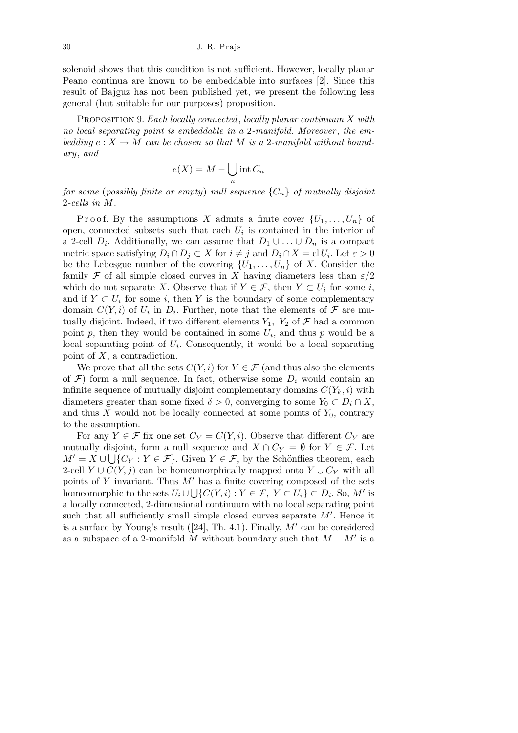solenoid shows that this condition is not sufficient. However, locally planar Peano continua are known to be embeddable into surfaces [2]. Since this result of Bajguz has not been published yet, we present the following less general (but suitable for our purposes) proposition.

Proposition 9. *Each locally connected*, *locally planar continuum X with no local separating point is embeddable in a* 2*-manifold. Moreover* , *the embedding*  $e: X \to M$  *can be chosen so that*  $M$  *is a* 2*-manifold without boundary*, *and*  $\mathbf{r}$ 

$$
e(X) = M - \bigcup_{n} \text{int } C_n
$$

*for some* (*possibly finite or empty*) *null sequence {Cn} of mutually disjoint* 2*-cells in M.*

Proof. By the assumptions *X* admits a finite cover  $\{U_1, \ldots, U_n\}$  of open, connected subsets such that each  $U_i$  is contained in the interior of a 2-cell  $D_i$ . Additionally, we can assume that  $D_1 \cup \ldots \cup D_n$  is a compact metric space satisfying  $D_i \cap D_j \subset X$  for  $i \neq j$  and  $D_i \cap X = \text{cl } U_i$ . Let  $\varepsilon > 0$ be the Lebesgue number of the covering  $\{U_1, \ldots, U_n\}$  of *X*. Consider the family *F* of all simple closed curves in *X* having diameters less than  $\varepsilon/2$ which do not separate *X*. Observe that if  $Y \in \mathcal{F}$ , then  $Y \subset U_i$  for some *i*, and if  $Y \subset U_i$  for some *i*, then Y is the boundary of some complementary domain  $C(Y, i)$  of  $U_i$  in  $D_i$ . Further, note that the elements of  $\mathcal F$  are mutually disjoint. Indeed, if two different elements  $Y_1$ ,  $Y_2$  of  $\mathcal F$  had a common point  $p$ , then they would be contained in some  $U_i$ , and thus  $p$  would be a local separating point of  $U_i$ . Consequently, it would be a local separating point of *X*, a contradiction.

We prove that all the sets  $C(Y, i)$  for  $Y \in \mathcal{F}$  (and thus also the elements of  $\mathcal{F}$ ) form a null sequence. In fact, otherwise some  $D_i$  would contain an infinite sequence of mutually disjoint complementary domains  $C(Y_k, i)$  with diameters greater than some fixed  $\delta > 0$ , converging to some  $Y_0 \subset D_i \cap X$ , and thus  $X$  would not be locally connected at some points of  $Y_0$ , contrary to the assumption.

For any  $Y \in \mathcal{F}$  fix one set  $C_Y = C(Y, i)$ . Observe that different  $C_Y$  are mutually disjoint, form a null sequence and  $X \cap C_Y = \emptyset$  for  $Y \in \mathcal{F}$ . Let  $M' = X \cup \bigcup \{C_Y : Y \in \mathcal{F}\}\.$  Given  $Y \in \mathcal{F}$ , by the Schönflies theorem, each 2-cell  $Y \cup C(Y, j)$  can be homeomorphically mapped onto  $Y \cup C_Y$  with all points of *Y* invariant. Thus  $M'$  has a finite covering composed of the sets homeomorphic to the sets  $U_i \cup \bigcup \{C(Y, i) : Y \in \mathcal{F}, Y \subset U_i\} \subset D_i$ . So, M' is a locally connected, 2-dimensional continuum with no local separating point such that all sufficiently small simple closed curves separate  $M'$ . Hence it is a surface by Young's result  $(24)$ , Th. 4.1). Finally,  $M'$  can be considered as a subspace of a 2-manifold  $\tilde{M}$  without boundary such that  $M - M'$  is a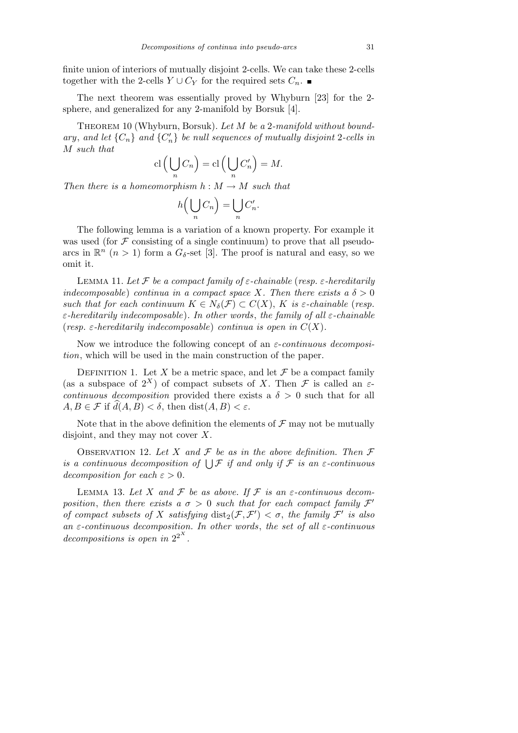finite union of interiors of mutually disjoint 2-cells. We can take these 2-cells together with the 2-cells  $Y \cup C_Y$  for the required sets  $C_n$ .

The next theorem was essentially proved by Whyburn [23] for the 2 sphere, and generalized for any 2-manifold by Borsuk [4].

Theorem 10 (Whyburn, Borsuk). *Let M be a* 2*-manifold without boundary*, and let  $\{C_n\}$  and  $\{C'_n\}$  be null sequences of mutually disjoint 2-cells in *M such that*  $\mathbf{r}$  $\mathbf{r}$ 

$$
\mathrm{cl}\left(\bigcup_{n} C_{n}\right)=\mathrm{cl}\left(\bigcup_{n} C'_{n}\right)=M.
$$

*Then there is a homeomorphism*  $h : M \to M$  *such that* 

$$
h\left(\bigcup_n C_n\right) = \bigcup_n C'_n.
$$

The following lemma is a variation of a known property. For example it was used (for  $\mathcal F$  consisting of a single continuum) to prove that all pseudoarcs in  $\mathbb{R}^n$   $(n > 1)$  form a  $G_{\delta}$ -set [3]. The proof is natural and easy, so we omit it.

LEMMA 11. Let  $\mathcal F$  be a compact family of  $\varepsilon$ -chainable (*resp.*  $\varepsilon$ -hereditarily *indecomposable*) *continua in a compact space X. Then there exists a*  $\delta > 0$ *such that for each continuum*  $K \in N_{\delta}(\mathcal{F}) \subset C(X)$ ,  $K$  *is*  $\varepsilon$ *-chainable* (*resp. ε-hereditarily indecomposable*)*. In other words*, *the family of all ε-chainable* (*resp.*  $\varepsilon$ -hereditarily indecomposable) continua is open in  $C(X)$ .

Now we introduce the following concept of an *ε*-*continuous decomposition*, which will be used in the main construction of the paper.

DEFINITION 1. Let *X* be a metric space, and let  $\mathcal F$  be a compact family (as a subspace of  $2^X$ ) of compact subsets of *X*. Then *F* is called an *εcontinuous decomposition* provided there exists a  $\delta > 0$  such that for all  $A, B \in \mathcal{F}$  if  $\widehat{d}(A, B) < \delta$ , then dist $(A, B) < \varepsilon$ .

Note that in the above definition the elements of  $\mathcal F$  may not be mutually disjoint, and they may not cover *X*.

OBSERVATION 12. Let X and  $\mathcal F$  be as in the above definition. Then  $\mathcal F$ **is a continuous decomposition of**  $\bigcup$  *F if and only if F is an ε*-continuous *decomposition for each*  $\varepsilon > 0$ *.* 

LEMMA 13. Let  $X$  and  $F$  be as above. If  $F$  is an  $\varepsilon$ -continuous decom*position, then there exists a*  $\sigma > 0$  *such that for each compact family*  $\mathcal{F}'$ *of compact subsets of X satisfying*  $dist_2(\mathcal{F}, \mathcal{F}') < \sigma$ , the family  $\mathcal{F}'$  is also *an ε-continuous decomposition. In other words*, *the set of all ε-continuous decompositions is open in*  $2^{2^X}$ *.*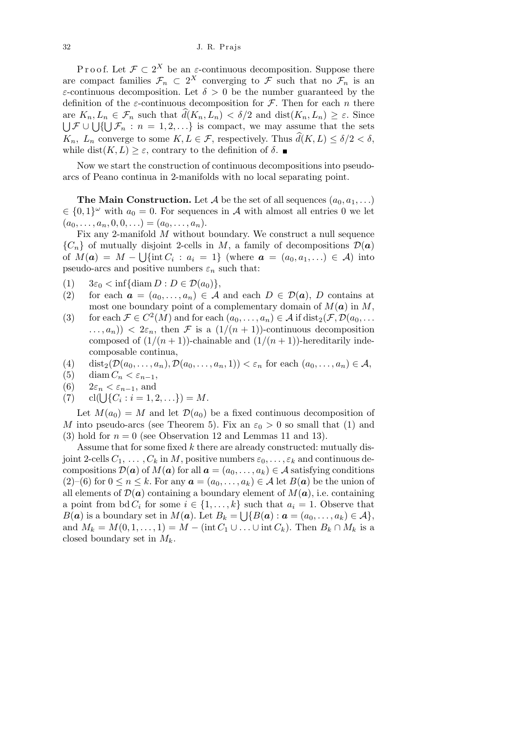P r o o f. Let  $\mathcal{F} \subset 2^X$  be an  $\varepsilon$ -continuous decomposition. Suppose there are compact families  $\mathcal{F}_n \subset 2^X$  converging to  $\mathcal{F}$  such that no  $\mathcal{F}_n$  is an *ε*-continuous decomposition. Let  $\delta > 0$  be the number guaranteed by the definition of the *ε*-continuous decomposition for  $\mathcal{F}$ . Then for each *n* there  $K_n, L_n \in \mathcal{F}_n$  such that  $\widehat{d}(K_n, L_n) < \delta/2$  and  $\text{dist}(K_n, L_n) \geq \varepsilon$ . Since  $F \cup \bigcup \{\bigcup \mathcal{F}_n : n = 1, 2, \ldots\}$  is compact, we may assume that the sets *K<sub>n</sub>*,  $L_n$  converge to some  $K, L \in \mathcal{F}$ , respectively. Thus  $\hat{d}(K, L) \leq \delta/2 < \delta$ , while dist $(K, L) \geq \varepsilon$ , contrary to the definition of  $\delta$ .

Now we start the construction of continuous decompositions into pseudoarcs of Peano continua in 2-manifolds with no local separating point.

**The Main Construction.** Let *A* be the set of all sequences  $(a_0, a_1, \ldots)$  $\in \{0,1\}^\omega$  with  $a_0 = 0$ . For sequences in *A* with almost all entries 0 we let  $(a_0, \ldots, a_n, 0, 0, \ldots) = (a_0, \ldots, a_n).$ 

Fix any 2-manifold *M* without boundary. We construct a null sequence  ${C_n}$  of mutually disjoint 2-cells in *M*, a family of decompositions  $\mathcal{D}(\boldsymbol{a})$ of  $M(a) = M - \bigcup \{\text{int } C_i : a_i = 1\}$  (where  $a = (a_0, a_1, ...)$  ∈ A) into pseudo-arcs and positive numbers  $\varepsilon_n$  such that:

 $(1)$   $3\varepsilon_0 < \inf{\{\operatorname{diam} D : D \in \mathcal{D}(a_0)\},\}$ 

- (2) for each  $a = (a_0, \ldots, a_n) \in \mathcal{A}$  and each  $D \in \mathcal{D}(a)$ , *D* contains at most one boundary point of a complementary domain of  $M(\boldsymbol{a})$  in  $M$ ,
- (3) for each  $\mathcal{F} \in C^2(M)$  and for each  $(a_0, \ldots, a_n) \in \mathcal{A}$  if dist<sub>2</sub>( $\mathcal{F}, \mathcal{D}(a_0, \ldots, a_n)$ )  $(1/(n+1))$  *<*  $2\varepsilon_n$ *,* then *F* is a  $(1/(n+1))$ -continuous decomposition composed of  $(1/(n+1))$ -chainable and  $(1/(n+1))$ -hereditarily indecomposable continua,
- (4) dist<sub>2</sub>( $\mathcal{D}(a_0, \ldots, a_n)$ ,  $\mathcal{D}(a_0, \ldots, a_n, 1)$ )  $< \varepsilon_n$  for each  $(a_0, \ldots, a_n) \in \mathcal{A}$ ,
- (5) diam  $C_n < \varepsilon_{n-1}$ ,
- (6)  $2\varepsilon_n < \varepsilon_{n-1}$ , and
- (6)  $z \in n < \varepsilon_{n-1}$ , and<br>
(7)  $cl(\bigcup \{C_i : i = 1, 2, ...\}) = M.$

Let  $M(a_0) = M$  and let  $\mathcal{D}(a_0)$  be a fixed continuous decomposition of *M* into pseudo-arcs (see Theorem 5). Fix an  $\varepsilon_0 > 0$  so small that (1) and (3) hold for  $n = 0$  (see Observation 12 and Lemmas 11 and 13).

Assume that for some fixed *k* there are already constructed: mutually disjoint 2-cells  $C_1, \ldots, C_k$  in M, positive numbers  $\varepsilon_0, \ldots, \varepsilon_k$  and continuous decompositions  $\mathcal{D}(\boldsymbol{a})$  of  $M(\boldsymbol{a})$  for all  $\boldsymbol{a} = (a_0, \ldots, a_k) \in \mathcal{A}$  satisfying conditions  $(2)$ –(6) for  $0 \le n \le k$ . For any  $a = (a_0, \ldots, a_k) \in A$  let  $B(a)$  be the union of all elements of  $\mathcal{D}(\boldsymbol{a})$  containing a boundary element of  $M(\boldsymbol{a})$ , i.e. containing a point from bd  $C_i$  for some  $i \in \{1, \ldots, k\}$  such that  $a_i = 1$ . Observe that *B*(*a*) is a boundary set in *M*(*a*). Let  $B_k = \bigcup \{B(\boldsymbol{a}) : \boldsymbol{a} = (a_0, \ldots, a_k) \in A\},$ and  $M_k = M(0, 1, \ldots, 1) = M - (\text{int } C_1 \cup \ldots \cup \text{int } C_k)$ . Then  $B_k \cap M_k$  is a closed boundary set in *Mk*.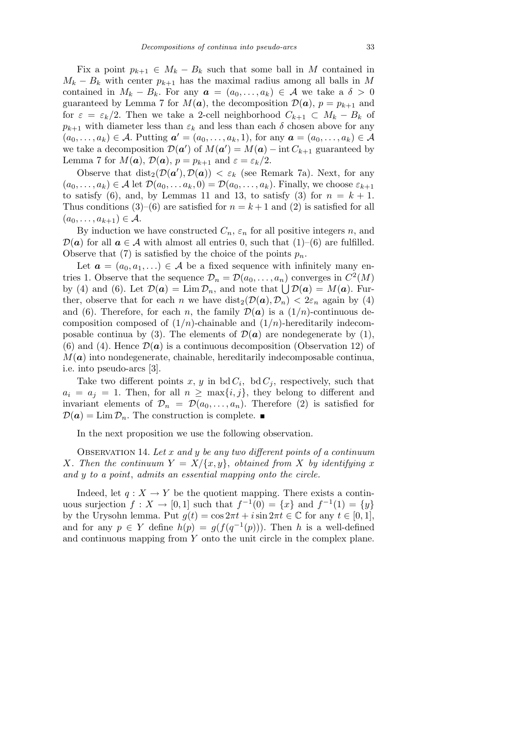Fix a point  $p_{k+1} \in M_k - B_k$  such that some ball in M contained in  $M_k - B_k$  with center  $p_{k+1}$  has the maximal radius among all balls in *M* contained in  $M_k - B_k$ . For any  $a = (a_0, \ldots, a_k) \in \mathcal{A}$  we take a  $\delta > 0$ guaranteed by Lemma 7 for  $M(a)$ , the decomposition  $\mathcal{D}(a)$ ,  $p = p_{k+1}$  and for  $\varepsilon = \varepsilon_k/2$ . Then we take a 2-cell neighborhood  $C_{k+1} \subset M_k - B_k$  of  $p_{k+1}$  with diameter less than  $\varepsilon_k$  and less than each  $\delta$  chosen above for any  $(a_0, ..., a_k) \in A$ . Putting  $a' = (a_0, ..., a_k, 1)$ , for any  $a = (a_0, ..., a_k) \in A$ we take a decomposition  $\mathcal{D}(\boldsymbol{a}')$  of  $M(\boldsymbol{a}') = M(\boldsymbol{a}) - \text{int } C_{k+1}$  guaranteed by Lemma 7 for  $M(a)$ ,  $\mathcal{D}(a)$ ,  $p = p_{k+1}$  and  $\varepsilon = \varepsilon_k/2$ .

Observe that  $dist_2(\mathcal{D}(\boldsymbol{a}'), \mathcal{D}(\boldsymbol{a})) < \varepsilon_k$  (see Remark 7a). Next, for any  $(a_0, \ldots, a_k) \in A$  let  $\mathcal{D}(a_0, \ldots, a_k, 0) = \mathcal{D}(a_0, \ldots, a_k)$ . Finally, we choose  $\varepsilon_{k+1}$ to satisfy (6), and, by Lemmas 11 and 13, to satisfy (3) for  $n = k + 1$ . Thus conditions  $(3)-(6)$  are satisfied for  $n = k+1$  and  $(2)$  is satisfied for all  $(a_0, \ldots, a_{k+1}) \in A$ .

By induction we have constructed  $C_n$ ,  $\varepsilon_n$  for all positive integers *n*, and  $\mathcal{D}(\boldsymbol{a})$  for all  $\boldsymbol{a} \in \mathcal{A}$  with almost all entries 0, such that (1)–(6) are fulfilled. Observe that (7) is satisfied by the choice of the points  $p_n$ .

Let  $\boldsymbol{a} = (a_0, a_1, \ldots) \in \mathcal{A}$  be a fixed sequence with infinitely many entries 1. Observe that the sequence  $\mathcal{D}_n = \mathcal{D}(a_0, \ldots, a_n)$  converges in  $C^2(M)$ by (4) and (6). Let  $\mathcal{D}(\mathbf{a}) = \lim \mathcal{D}_n$ , and note that  $\bigcup \mathcal{D}(\mathbf{a}) = M(\mathbf{a})$ . Further, observe that for each *n* we have  $dist_2(\mathcal{D}(\boldsymbol{a}), \mathcal{D}_n) < 2\varepsilon_n$  again by (4) and (6). Therefore, for each *n*, the family  $\mathcal{D}(\boldsymbol{a})$  is a  $(1/n)$ -continuous decomposition composed of  $(1/n)$ -chainable and  $(1/n)$ -hereditarily indecomposable continua by (3). The elements of  $\mathcal{D}(\boldsymbol{a})$  are nondegenerate by (1), (6) and (4). Hence  $\mathcal{D}(\boldsymbol{a})$  is a continuous decomposition (Observation 12) of  $M(a)$  into nondegenerate, chainable, hereditarily indecomposable continua, i.e. into pseudo-arcs [3].

Take two different points  $x, y$  in bd  $C_i$ , bd  $C_j$ , respectively, such that  $a_i = a_j = 1$ . Then, for all  $n \ge \max\{i, j\}$ , they belong to different and invariant elements of  $\mathcal{D}_n = \mathcal{D}(a_0, \ldots, a_n)$ . Therefore (2) is satisfied for  $\mathcal{D}(\boldsymbol{a}) = \lim \mathcal{D}_n$ . The construction is complete.

In the next proposition we use the following observation.

Observation 14. *Let x and y be any two different points of a continuum X. Then the continuum*  $Y = X/\{x, y\}$ , *obtained from X by identifying x and y to a point*, *admits an essential mapping onto the circle.*

Indeed, let  $q: X \to Y$  be the quotient mapping. There exists a continuous surjection  $f: X \to [0, 1]$  such that  $f^{-1}(0) = \{x\}$  and  $f^{-1}(1) = \{y\}$ by the Urysohn lemma. Put  $g(t) = \cos 2\pi t + i \sin 2\pi t \in \mathbb{C}$  for any  $t \in [0, 1]$ , and for any  $p \in Y$  define  $h(p) = g(f(q^{-1}(p)))$ . Then *h* is a well-defined and continuous mapping from *Y* onto the unit circle in the complex plane.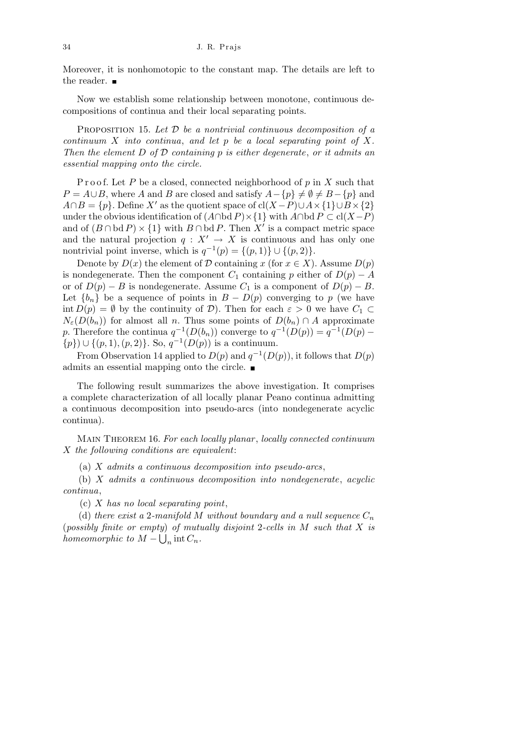Moreover, it is nonhomotopic to the constant map. The details are left to the reader. ■

Now we establish some relationship between monotone, continuous decompositions of continua and their local separating points.

Proposition 15. *Let D be a nontrivial continuous decomposition of a continuum X into continua*, *and let p be a local separating point of X. Then the element D of D containing p is either degenerate*, *or it admits an essential mapping onto the circle.*

Proof. Let P be a closed, connected neighborhood of p in X such that  $P = A \cup B$ , where *A* and *B* are closed and satisfy  $A - {p} \neq \emptyset \neq B - {p}$  and  $A \cap B = \{p\}$ . Define *X<sup>i</sup>* as the quotient space of cl(*X − P*) $\cup A \times \{1\} \cup B \times \{2\}$ under the obvious identification of  $(A \cap \text{bd } P) \times \{1\}$  with  $A \cap \text{bd } P \subset \text{cl}(X-P)$ and of  $(B \cap \text{bd } P) \times \{1\}$  with  $B \cap \text{bd } P$ . Then X<sup>*i*</sup> is a compact metric space and the natural projection  $q: X' \to X$  is continuous and has only one nontrivial point inverse, which is  $q^{-1}(p) = \{(p, 1)\} \cup \{(p, 2)\}.$ 

Denote by  $D(x)$  the element of  $D$  containing  $x$  (for  $x \in X$ ). Assume  $D(p)$ is nondegenerate. Then the component  $C_1$  containing  $p$  either of  $D(p) - A$ or of  $D(p) - B$  is nondegenerate. Assume  $C_1$  is a component of  $D(p) - B$ . Let  ${b_n}$  be a sequence of points in  $B - D(p)$  converging to p (we have int  $D(p) = \emptyset$  by the continuity of *D*). Then for each  $\varepsilon > 0$  we have  $C_1 \subset$  $N_{\varepsilon}(D(b_n))$  for almost all *n*. Thus some points of  $D(b_n) \cap A$  approximate *p*. Therefore the continua  $q^{-1}(D(b_n))$  converge to  $q^{-1}(D(p)) = q^{-1}(D(p) - p)$ *{p}*) *∪ {*(*p,* 1)*,*(*p,* 2)*}*. So, *q −*1 (*D*(*p*)) is a continuum.

From Observation 14 applied to  $D(p)$  and  $q^{-1}(D(p))$ , it follows that  $D(p)$ admits an essential mapping onto the circle.

The following result summarizes the above investigation. It comprises a complete characterization of all locally planar Peano continua admitting a continuous decomposition into pseudo-arcs (into nondegenerate acyclic continua).

Main Theorem 16. *For each locally planar* , *locally connected continuum X the following conditions are equivalent*:

(a) *X admits a continuous decomposition into pseudo-arcs*,

(b) *X admits a continuous decomposition into nondegenerate*, *acyclic continua*,

(c) *X has no local separating point*,

(d) *there exist a* 2-manifold *M* without boundary and a null sequence  $C_n$  $(p \text{ o} \text{ s} \text{ is } p \text{ in } M \text{ such that } X \text{ is } p \text{ in } M \text{ such that } X \text{ is } p \text{ in } M \text{ such that } X \text{ is } p \text{ in } M \text{ such that } X \text{ is } p \text{ in } M \text{ such that } X \text{ is } p \text{ in } M \text{ such that } X \text{ is } p \text{ in } M \text{ such that } X \text{ is } p \text{ in } M \text{ such that } X \text{ is } p \text{ in } M \text{ such that } X \text{ is } p \text{ in } M \text{ such that } X \text{ is } p \text{ in } M \text{ such that } X$ *homeomorphic to*  $M - \bigcup_n \text{int } C_n$ *.*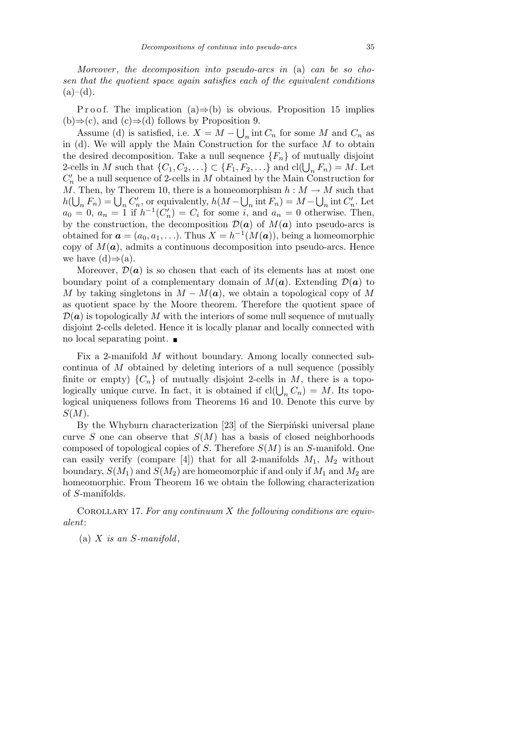*Moreover* , *the decomposition into pseudo-arcs in* (a) *can be so chosen that the quotient space again satisfies each of the equivalent conditions*  $(a)–(d)$ .

P r o o f. The implication  $(a) \Rightarrow (b)$  is obvious. Proposition 15 implies (b)*⇒*(c), and (c)*⇒*(d) follows by Proposition 9. S

Assume (d) is satisfied, i.e.  $X = M - \bigcup_n \text{int } C_n$  for some *M* and  $C_n$  as in (d). We will apply the Main Construction for the surface *M* to obtain the desired decomposition. Take a null sequence  ${F_n}$  of mutually disjoint 2-cells in *M* such that  $\{C_1, C_2, \ldots\} \subset \{F_1, F_2, \ldots\}$  and  $cl(\bigcup_n F_n) = M$ . Let  $C_n'$  be a null sequence of 2-cells in *M* obtained by the Main Construction for *M*. Then, by Theorem 10, there is a homeomorphism  $h : M \to M$  such that *h*( $\bigcup_n F_n$ ) =  $\bigcup_n C'_n$ , or equivalently, *h*(*M* −  $\bigcup_n$  int *F<sub>n</sub>*) = *M* −  $\bigcup_n$  int *C'<sub>n</sub>*. Let  $a_0 = 0, a_n = 1$  if  $h^{-1}(C'_n) = C_i$  for some *i*, and  $a_n = 0$  otherwise. Then, by the construction, the decomposition  $\mathcal{D}(\boldsymbol{a})$  of  $M(\boldsymbol{a})$  into pseudo-arcs is obtained for  $\mathbf{a} = (a_0, a_1, \ldots)$ . Thus  $X = h^{-1}(M(\mathbf{a}))$ , being a homeomorphic copy of  $M(a)$ , admits a continuous decomposition into pseudo-arcs. Hence we have  $(d) \Rightarrow (a)$ .

Moreover,  $\mathcal{D}(\boldsymbol{a})$  is so chosen that each of its elements has at most one boundary point of a complementary domain of  $M(a)$ . Extending  $\mathcal{D}(a)$  to *M* by taking singletons in  $M - M(a)$ , we obtain a topological copy of M as quotient space by the Moore theorem. Therefore the quotient space of  $\mathcal{D}(\mathbf{a})$  is topologically *M* with the interiors of some null sequence of mutually disjoint 2-cells deleted. Hence it is locally planar and locally connected with no local separating point.

Fix a 2-manifold *M* without boundary. Among locally connected subcontinua of *M* obtained by deleting interiors of a null sequence (possibly finite or empty)  ${C_n}$  of mutually disjoint 2-cells in *M*, there is a topologically unique curve. In fact, it is obtained if  $cl(\bigcup_n C_n) = M$ . Its topological uniqueness follows from Theorems 16 and 10. Denote this curve by *S*(*M*).

By the Whyburn characterization [23] of the Sierpinski universal plane curve *S* one can observe that  $S(M)$  has a basis of closed neighborhoods composed of topological copies of *S*. Therefore *S*(*M*) is an *S*-manifold. One can easily verify (compare [4]) that for all 2-manifolds  $M_1$ ,  $M_2$  without boundary,  $S(M_1)$  and  $S(M_2)$  are homeomorphic if and only if  $M_1$  and  $M_2$  are homeomorphic. From Theorem 16 we obtain the following characterization of *S*-manifolds.

Corollary 17. *For any continuum X the following conditions are equivalent*:

(a) *X is an S-manifold*,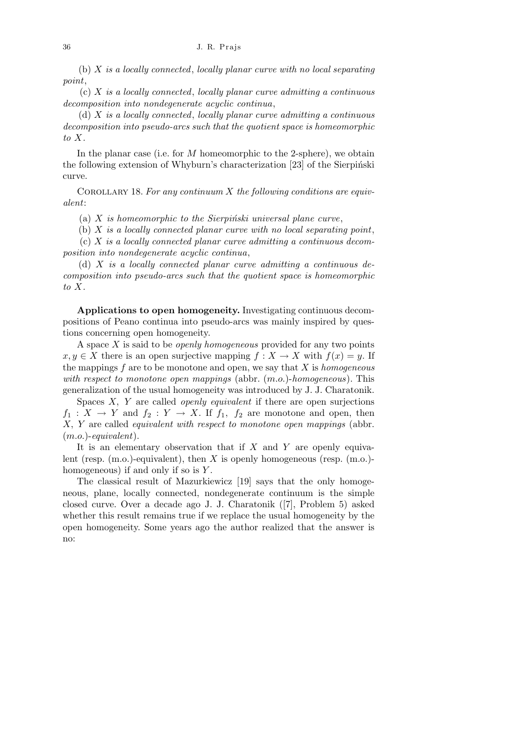(b) *X is a locally connected*, *locally planar curve with no local separating point*,

(c) *X is a locally connected*, *locally planar curve admitting a continuous decomposition into nondegenerate acyclic continua*,

(d) *X is a locally connected*, *locally planar curve admitting a continuous decomposition into pseudo-arcs such that the quotient space is homeomorphic to X.*

In the planar case (i.e. for *M* homeomorphic to the 2-sphere), we obtain the following extension of Whyburn's characterization  $[23]$  of the Sierpinski curve.

Corollary 18. *For any continuum X the following conditions are equivalent*:

(a)  $X$  *is homeomorphic to the Sierpinski universal plane curve*,

(b) *X is a locally connected planar curve with no local separating point*,

(c) *X is a locally connected planar curve admitting a continuous decomposition into nondegenerate acyclic continua*,

(d) *X is a locally connected planar curve admitting a continuous decomposition into pseudo-arcs such that the quotient space is homeomorphic to X.*

**Applications to open homogeneity.** Investigating continuous decompositions of Peano continua into pseudo-arcs was mainly inspired by questions concerning open homogeneity.

A space *X* is said to be *openly homogeneous* provided for any two points  $x, y \in X$  there is an open surjective mapping  $f: X \to X$  with  $f(x) = y$ . If the mappings *f* are to be monotone and open, we say that *X* is *homogeneous with respect to monotone open mappings* (abbr. (*m.o.*)-*homogeneous*). This generalization of the usual homogeneity was introduced by J. J. Charatonik.

Spaces *X, Y* are called *openly equivalent* if there are open surjections  $f_1: X \to Y$  and  $f_2: Y \to X$ . If  $f_1, f_2$  are monotone and open, then *X, Y* are called *equivalent with respect to monotone open mappings* (abbr. (*m.o.*)-*equivalent*).

It is an elementary observation that if *X* and *Y* are openly equivalent (resp. (m.o.)-equivalent), then *X* is openly homogeneous (resp. (m.o.) homogeneous) if and only if so is *Y* .

The classical result of Mazurkiewicz [19] says that the only homogeneous, plane, locally connected, nondegenerate continuum is the simple closed curve. Over a decade ago J. J. Charatonik ([7], Problem 5) asked whether this result remains true if we replace the usual homogeneity by the open homogeneity. Some years ago the author realized that the answer is no: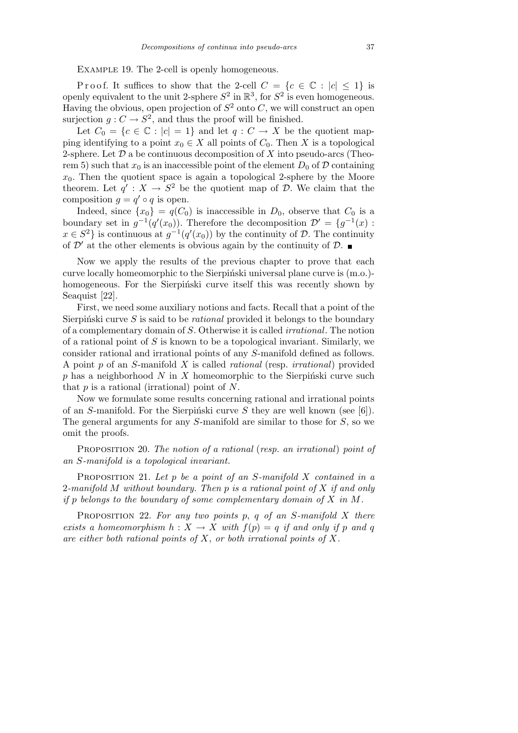EXAMPLE 19. The 2-cell is openly homogeneous.

Proof. It suffices to show that the 2-cell  $C = \{c \in \mathbb{C} : |c| \leq 1\}$  is openly equivalent to the unit 2-sphere  $S^2$  in  $\mathbb{R}^3$ , for  $S^2$  is even homogeneous. Having the obvious, open projection of  $S^2$  onto  $C$ , we will construct an open surjection  $g: C \to S^2$ , and thus the proof will be finished.

Let  $C_0 = \{c \in \mathbb{C} : |c| = 1\}$  and let  $q : C \to X$  be the quotient mapping identifying to a point  $x_0 \in X$  all points of  $C_0$ . Then  $X$  is a topological 2-sphere. Let *D* a be continuous decomposition of *X* into pseudo-arcs (Theorem 5) such that  $x_0$  is an inaccessible point of the element  $D_0$  of  $D$  containing  $x<sub>0</sub>$ . Then the quotient space is again a topological 2-sphere by the Moore theorem. Let  $q' : X \to S^2$  be the quotient map of *D*. We claim that the composition  $q = q' \circ q$  is open.

Indeed, since  $\{x_0\} = q(C_0)$  is inaccessible in  $D_0$ , observe that  $C_0$  is a boundary set in  $g^{-1}(q'(x_0))$ . Therefore the decomposition  $\mathcal{D}' = \{g^{-1}(x) :$  $x \in S^2$  is continuous at  $g^{-1}(q'(x_0))$  by the continuity of *D*. The continuity of  $\mathcal{D}'$  at the other elements is obvious again by the continuity of  $\mathcal{D}$ .

Now we apply the results of the previous chapter to prove that each curve locally homeomorphic to the Sierpinski universal plane curve is  $(m.o.).$ homogeneous. For the Sierpinski curve itself this was recently shown by Seaquist [22].

First, we need some auxiliary notions and facts. Recall that a point of the Sierpinski curve *S* is said to be *rational* provided it belongs to the boundary of a complementary domain of *S*. Otherwise it is called *irrational*. The notion of a rational point of *S* is known to be a topological invariant. Similarly, we consider rational and irrational points of any *S*-manifold defined as follows. A point *p* of an *S*-manifold *X* is called *rational* (resp. *irrational*) provided  $p$  has a neighborhood  $N$  in  $X$  homeomorphic to the Sierpinski curve such that *p* is a rational (irrational) point of *N*.

Now we formulate some results concerning rational and irrational points of an *S*-manifold. For the Sierpiński curve  $S$  they are well known (see [6]). The general arguments for any *S*-manifold are similar to those for *S*, so we omit the proofs.

Proposition 20. *The notion of a rational* (*resp. an irrational*) *point of an S-manifold is a topological invariant.*

Proposition 21. *Let p be a point of an S-manifold X contained in a* 2*-manifold M without boundary. Then p is a rational point of X if and only if p belongs to the boundary of some complementary domain of X in M.*

Proposition 22. *For any two points p*, *q of an S-manifold X there exists a homeomorphism*  $h: X \to X$  *with*  $f(p) = q$  *if and only if p and q are either both rational points of X*, *or both irrational points of X.*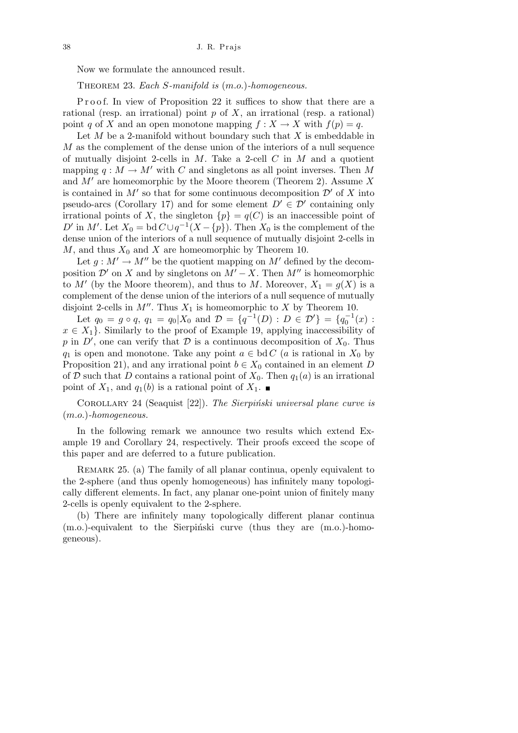Now we formulate the announced result.

Theorem 23. *Each S-manifold is* (*m.o.*)*-homogeneous.*

Proof. In view of Proposition 22 it suffices to show that there are a rational (resp. an irrational) point *p* of *X*, an irrational (resp. a rational) point *q* of *X* and an open monotone mapping  $f: X \to X$  with  $f(p) = q$ .

Let *M* be a 2-manifold without boundary such that *X* is embeddable in *M* as the complement of the dense union of the interiors of a null sequence of mutually disjoint 2-cells in *M*. Take a 2-cell *C* in *M* and a quotient mapping  $q : M \to M'$  with *C* and singletons as all point inverses. Then M and  $M'$  are homeomorphic by the Moore theorem (Theorem 2). Assume  $X$ is contained in  $M'$  so that for some continuous decomposition  $\mathcal{D}'$  of X into pseudo-arcs (Corollary 17) and for some element  $D' \in \mathcal{D}'$  containing only irrational points of *X*, the singleton  $\{p\} = q(C)$  is an inaccessible point of *D*<sup>*i*</sup> in *M*<sup>*l*</sup>. Let  $X_0 = \text{bd } C \cup q^{-1}(X - \{p\})$ . Then  $X_0$  is the complement of the dense union of the interiors of a null sequence of mutually disjoint 2-cells in  $M$ , and thus  $X_0$  and  $X$  are homeomorphic by Theorem 10.

Let  $g : M' \to M''$  be the quotient mapping on  $M'$  defined by the decomposition  $\mathcal{D}'$  on *X* and by singletons on  $M' - X$ . Then  $M''$  is homeomorphic to  $M'$  (by the Moore theorem), and thus to  $M$ . Moreover,  $X_1 = g(X)$  is a complement of the dense union of the interiors of a null sequence of mutually disjoint 2-cells in  $M''$ . Thus  $X_1$  is homeomorphic to  $X$  by Theorem 10.

Let  $q_0 = g \circ q$ ,  $q_1 = q_0 | X_0$  and  $\mathcal{D} = \{q^{-1}(D) : D \in \mathcal{D}'\} = \{q_0^{-1}(x) : D \in \mathcal{D}'\}$  $x \in X_1$ }. Similarly to the proof of Example 19, applying inaccessibility of *p* in *D*<sup>*i*</sup>, one can verify that *D* is a continuous decomposition of  $X_0$ . Thus *q*<sub>1</sub> is open and monotone. Take any point  $a \in bd C$  (*a* is rational in  $X_0$  by Proposition 21), and any irrational point  $b \in X_0$  contained in an element *D* of *D* such that *D* contains a rational point of  $X_0$ . Then  $q_1(a)$  is an irrational point of  $X_1$ , and  $q_1(b)$  is a rational point of  $X_1$ .

COROLLARY 24 (Seaquist [22]). *The Sierpiński universal plane curve is* (*m.o.*)*-homogeneous.*

In the following remark we announce two results which extend Example 19 and Corollary 24, respectively. Their proofs exceed the scope of this paper and are deferred to a future publication.

REMARK 25. (a) The family of all planar continua, openly equivalent to the 2-sphere (and thus openly homogeneous) has infinitely many topologically different elements. In fact, any planar one-point union of finitely many 2-cells is openly equivalent to the 2-sphere.

(b) There are infinitely many topologically different planar continua  $(m.o.)$ -equivalent to the Sierpinski curve (thus they are  $(m.o.)$ -homogeneous).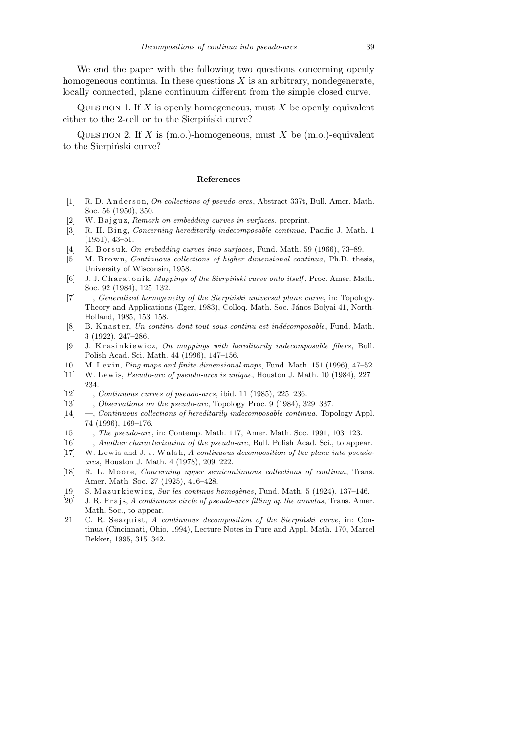We end the paper with the following two questions concerning openly homogeneous continua. In these questions  $X$  is an arbitrary, nondegenerate, locally connected, plane continuum different from the simple closed curve.

QUESTION 1. If  $X$  is openly homogeneous, must  $X$  be openly equivalent either to the 2-cell or to the Sierpiński curve?

Question 2. If *X* is (m.o.)-homogeneous, must *X* be (m.o.)-equivalent to the Sierpiński curve?

## **References**

- [1] R. D. Anderson, *On collections of pseudo-arcs*, Abstract 337t, Bull. Amer. Math. Soc. 56 (1950), 350.
- [2] W. Bajguz, *Remark on embedding curves in surfaces*, preprint.
- [3] R. H. Bing, *Concerning hereditarily indecomposable continua*, Pacific J. Math. 1 (1951), 43–51.
- [4] K. Borsuk, *On embedding curves into surfaces*, Fund. Math. 59 (1966), 73–89.
- [5] M. Brown, *Continuous collections of higher dimensional continua*, Ph.D. thesis, University of Wisconsin, 1958.
- [6] J. J. Charatonik, *Mappings of the Sierpiński curve onto itself*, Proc. Amer. Math. Soc. 92 (1984), 125–132.
- [7] —, *Generalized homogeneity of the Sierpiński universal plane curve*, in: Topology. Theory and Applications (Eger, 1983), Colloq. Math. Soc. János Bolyai 41, North-Holland, 1985, 153–158.
- [8] B. Knaster, *Un continu dont tout sous-continu est indécomposable*, Fund. Math. 3 (1922), 247–286.
- [9] J. Krasinkiewicz, *On mappings with hereditarily indecomposable fibers*, Bull. Polish Acad. Sci. Math. 44 (1996), 147–156.
- [10] M. Levin, *Bing maps and finite-dimensional maps*, Fund. Math. 151 (1996), 47-52.
- [11] W. Lewis, *Pseudo-arc of pseudo-arcs is unique*, Houston J. Math. 10 (1984), 227– 234.
- [12] —, *Continuous curves of pseudo-arcs*, ibid. 11 (1985), 225–236.
- [13] —, *Observations on the pseudo-arc*, Topology Proc. 9 (1984), 329–337.
- [14] —, *Continuous collections of hereditarily indecomposable continua*, Topology Appl. 74 (1996), 169–176.
- [15] —, *The pseudo-arc*, in: Contemp. Math. 117, Amer. Math. Soc. 1991, 103–123.
- [16] —, *Another characterization of the pseudo-arc*, Bull. Polish Acad. Sci., to appear.
- [17] W. Lewis and J. J. Walsh, *A continuous decomposition of the plane into pseudoarcs*, Houston J. Math. 4 (1978), 209–222.
- [18] R. L. Moore, *Concerning upper semicontinuous collections of continua*, Trans. Amer. Math. Soc. 27 (1925), 416–428.
- [19] S. M a z u r ki ewi c z, *Sur les continus homog`enes*, Fund. Math. 5 (1924), 137–146.
- [20] J. R. Prajs, *A continuous circle of pseudo-arcs filling up the annulus*, Trans. Amer. Math. Soc., to appear.
- [21] C. R. Seaquist, *A continuous decomposition of the Sierpiński curve*, in: Continua (Cincinnati, Ohio, 1994), Lecture Notes in Pure and Appl. Math. 170, Marcel Dekker, 1995, 315–342.